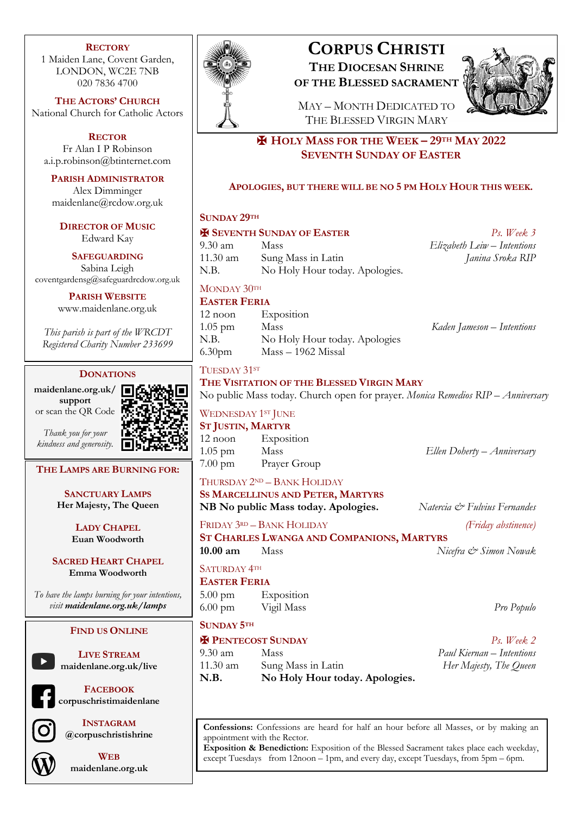## **RECTORY**

1 Maiden Lane, Covent Garden, LONDON, WC2E 7NB 020 7836 4700

**THE ACTORS' CHURCH** National Church for Catholic Actors

**RECTOR** Fr Alan I P Robinson a.i.p.robinson@btinternet.com

**PARISH ADMINISTRATOR** Alex Dimminger maidenlane@rcdow.org.uk

**DIRECTOR OF MUSIC** Edward Kay

**SAFEGUARDING** Sabina Leigh coventgardensg@safeguardrcdow.org.uk

> **PARISH WEBSITE** www.maidenlane.org.uk

*This parish is part of the WRCDT Registered Charity Number 233699*

## **DONATIONS**

**maidenlane.org.uk/ support** or scan the QR Code

*Thank you for your kindness and generosity.*



## **THE LAMPS ARE BURNING FOR:**

**SANCTUARY LAMPS Her Majesty, The Queen**

> **LADY CHAPEL Euan Woodworth**

**SACRED HEART CHAPEL Emma Woodworth**

*To have the lamps burning for your intentions, visit maidenlane.org.uk/lamps*

## **FIND US ONLINE**



**LIVE STREAM maidenlane.org.uk/live**



**FACEBOOK corpuschristimaidenlane**



**INSTAGRAM @corpuschristishrine**



**WEB maidenlane.org.uk**



## **CORPUS CHRISTI THE DIOCESAN SHRINE OF THE BLESSED SACRAMENT**



MAY – MONTH DEDICATED TO THE BLESSED VIRGIN MARY

✠ **HOLY MASS FOR THE WEEK – 29TH MAY 2022 SEVENTH SUNDAY OF EASTER**

## **APOLOGIES, BUT THERE WILL BE NO 5 PM HOLY HOUR THIS WEEK.**

## **SUNDAY 29TH**

| <b>H SEVENTH SUNDAY OF EASTER</b><br>$Ps.$ Week 3                               |                                |                             |
|---------------------------------------------------------------------------------|--------------------------------|-----------------------------|
| $9.30 \text{ am}$                                                               | Mass                           | Elizabeth Leiw - Intentions |
| 11.30 am                                                                        | Sung Mass in Latin             | Janina Sroka RIP            |
| N.B.                                                                            | No Holy Hour today. Apologies. |                             |
| MONDAY 30TH                                                                     |                                |                             |
| <b>EASTER FERIA</b>                                                             |                                |                             |
| 12 noon                                                                         | Exposition                     |                             |
| $1.05$ pm                                                                       | Mass                           | Kaden Jameson – Intentions  |
| N.B.                                                                            | No Holy Hour today. Apologies  |                             |
| 6.30 <sub>pm</sub>                                                              | $Mass - 1962$ Missal           |                             |
| TUESDAY 31ST<br>THE VISITATION OF THE BLESSED VIRGIN MARY                       |                                |                             |
| No public Mass today. Church open for prayer. Monica Remedios RIP - Anniversary |                                |                             |
| WEDNESDAY 1ST JUNE                                                              |                                |                             |
| <b>ST JUSTIN, MARTYR</b>                                                        |                                |                             |
| 12 noon Exposition                                                              |                                |                             |
| 1.05 pm Mass                                                                    |                                | Ellen Doherty – Anniversary |
|                                                                                 | 7.00 pm Prayer Group           |                             |
|                                                                                 |                                |                             |

THURSDAY 2ND – BANK HOLIDAY

**SS MARCELLINUS AND PETER, MARTYRS NB No public Mass today. Apologies.** *Natercia & Fulvius Fernandes*

FRIDAY 3RD – BANK HOLIDAY *(Friday abstinence)*

**ST CHARLES LWANGA AND COMPANIONS, MARTYRS 10.00 am** Mass *Nicefra & Simon Nowak*

## SATURDAY<sup>4TH</sup>

**EASTER FERIA** 5.00 pm Exposition

6.00 pm Vigil Mass *Pro Populo*

# **SUNDAY 5TH**

## ✠ **PENTECOST SUNDAY** *Ps. Week 2*

9.30 am Mass *Paul Kiernan – Intentions* 11.30 am Sung Mass in Latin *Her Majesty, The Queen* **N.B. No Holy Hour today. Apologies.**

**Confessions:** Confessions are heard for half an hour before all Masses, or by making an appointment with the Rector.

**Exposition & Benediction:** Exposition of the Blessed Sacrament takes place each weekday, except Tuesdays from 12noon – 1pm, and every day, except Tuesdays, from 5pm – 6pm.